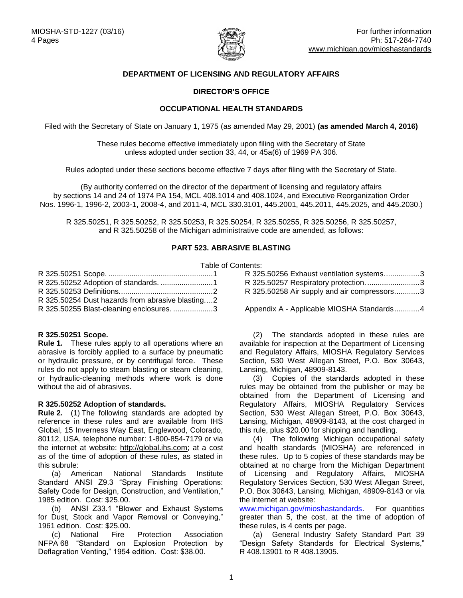

# **DEPARTMENT OF LICENSING AND REGULATORY AFFAIRS**

# **DIRECTOR'S OFFICE**

## **OCCUPATIONAL HEALTH STANDARDS**

Filed with the Secretary of State on January 1, 1975 (as amended May 29, 2001) **(as amended March 4, 2016)**

These rules become effective immediately upon filing with the Secretary of State unless adopted under section 33, 44, or 45a(6) of 1969 PA 306.

Rules adopted under these sections become effective 7 days after filing with the Secretary of State.

(By authority conferred on the director of the department of licensing and regulatory affairs by sections 14 and 24 of 1974 PA 154, MCL 408.1014 and 408.1024, and Executive Reorganization Order Nos. 1996-1, 1996-2, 2003-1, 2008-4, and 2011-4, MCL 330.3101, 445.2001, 445.2011, 445.2025, and 445.2030.)

R 325.50251, R 325.50252, R 325.50253, R 325.50254, R 325.50255, R 325.50256, R 325.50257, and R 325.50258 of the Michigan administrative code are amended, as follows:

### **PART 523. ABRASIVE BLASTING**

#### Table of Contents:

| R 325.50254 Dust hazards from abrasive blasting2 |
|--------------------------------------------------|
| R 325.50255 Blast-cleaning enclosures. 3         |

### <span id="page-0-0"></span>**R 325.50251 Scope.**

**Rule 1.** These rules apply to all operations where an abrasive is forcibly applied to a surface by pneumatic or hydraulic pressure, or by centrifugal force. These rules do not apply to steam blasting or steam cleaning, or hydraulic-cleaning methods where work is done without the aid of abrasives.

### <span id="page-0-1"></span>**R 325.50252 Adoption of standards.**

**Rule 2.** (1) The following standards are adopted by reference in these rules and are available from IHS Global, 15 Inverness Way East, Englewood, Colorado, 80112, USA, telephone number: 1-800-854-7179 or via the internet at website: [http://global.ihs.com;](http://global.ihs.com/) at a cost as of the time of adoption of these rules, as stated in this subrule:

(a) American National Standards Institute Standard ANSI Z9.3 "Spray Finishing Operations: Safety Code for Design, Construction, and Ventilation," 1985 edition. Cost: \$25.00.

(b) ANSI Z33.1 "Blower and Exhaust Systems for Dust, Stock and Vapor Removal or Conveying," 1961 edition. Cost: \$25.00.

(c) National Fire Protection Association NFPA 68 "Standard on Explosion Protection by Deflagration Venting," 1954 edition. Cost: \$38.00.

| . |                                             |  |
|---|---------------------------------------------|--|
|   | R 325.50256 Exhaust ventilation systems3    |  |
|   | R 325.50257 Respiratory protection3         |  |
|   | R 325.50258 Air supply and air compressors3 |  |

Appendix A - [Applicable MIOSHA Standards............4](#page-3-0)

(2) The standards adopted in these rules are available for inspection at the Department of Licensing and Regulatory Affairs, MIOSHA Regulatory Services Section, 530 West Allegan Street, P.O. Box 30643, Lansing, Michigan, 48909-8143.

(3) Copies of the standards adopted in these rules may be obtained from the publisher or may be obtained from the Department of Licensing and Regulatory Affairs, MIOSHA Regulatory Services Section, 530 West Allegan Street, P.O. Box 30643, Lansing, Michigan, 48909-8143, at the cost charged in this rule, plus \$20.00 for shipping and handling.

(4) The following Michigan occupational safety and health standards (MIOSHA) are referenced in these rules. Up to 5 copies of these standards may be obtained at no charge from the Michigan Department of Licensing and Regulatory Affairs, MIOSHA Regulatory Services Section, 530 West Allegan Street, P.O. Box 30643, Lansing, Michigan, 48909-8143 or via the internet at website:

[www.michigan.gov/mioshastandards.](http://www.michigan.gov/lara/0,4601,7-154-11407_15368---,00.html) For quantities greater than 5, the cost, at the time of adoption of these rules, is 4 cents per page.

(a) General Industry Safety Standard Part 39 "Design Safety Standards for Electrical Systems," R 408.13901 to R 408.13905.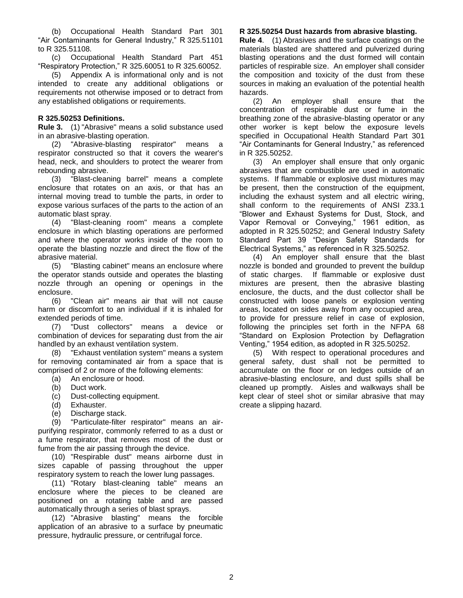(b) Occupational Health Standard Part 301 "Air Contaminants for General Industry," R 325.51101 to R 325.51108.

(c) Occupational Health Standard Part 451 "Respiratory Protection," R 325.60051 to R 325.60052.

(5) Appendix A is informational only and is not intended to create any additional obligations or requirements not otherwise imposed or to detract from any established obligations or requirements.

## <span id="page-1-0"></span>**R 325.50253 Definitions.**

**Rule 3.** (1) "Abrasive" means a solid substance used in an abrasive-blasting operation.

(2) "Abrasive-blasting respirator" means a respirator constructed so that it covers the wearer's head, neck, and shoulders to protect the wearer from rebounding abrasive.

(3) "Blast-cleaning barrel" means a complete enclosure that rotates on an axis, or that has an internal moving tread to tumble the parts, in order to expose various surfaces of the parts to the action of an automatic blast spray.

(4) "Blast-cleaning room" means a complete enclosure in which blasting operations are performed and where the operator works inside of the room to operate the blasting nozzle and direct the flow of the abrasive material.

(5) "Blasting cabinet" means an enclosure where the operator stands outside and operates the blasting nozzle through an opening or openings in the enclosure.

(6) "Clean air" means air that will not cause harm or discomfort to an individual if it is inhaled for extended periods of time.

(7) "Dust collectors" means a device or combination of devices for separating dust from the air handled by an exhaust ventilation system.

(8) "Exhaust ventilation system" means a system for removing contaminated air from a space that is comprised of 2 or more of the following elements:

- (a) An enclosure or hood.<br>(b) Duct work.
- Duct work.
- (c) Dust-collecting equipment.
- (d) Exhauster.
- (e) Discharge stack.

(9) "Particulate-filter respirator" means an airpurifying respirator, commonly referred to as a dust or a fume respirator, that removes most of the dust or fume from the air passing through the device.

(10) "Respirable dust" means airborne dust in sizes capable of passing throughout the upper respiratory system to reach the lower lung passages.

(11) "Rotary blast-cleaning table" means an enclosure where the pieces to be cleaned are positioned on a rotating table and are passed automatically through a series of blast sprays.

(12) "Abrasive blasting" means the forcible application of an abrasive to a surface by pneumatic pressure, hydraulic pressure, or centrifugal force.

## <span id="page-1-1"></span>**R 325.50254 Dust hazards from abrasive blasting.**

**Rule 4**. (1) Abrasives and the surface coatings on the materials blasted are shattered and pulverized during blasting operations and the dust formed will contain particles of respirable size. An employer shall consider the composition and toxicity of the dust from these sources in making an evaluation of the potential health hazards.

(2) An employer shall ensure that the concentration of respirable dust or fume in the breathing zone of the abrasive-blasting operator or any other worker is kept below the exposure levels specified in Occupational Health Standard Part 301 "Air Contaminants for General Industry," as referenced in R 325.50252.

(3) An employer shall ensure that only organic abrasives that are combustible are used in automatic systems. If flammable or explosive dust mixtures may be present, then the construction of the equipment, including the exhaust system and all electric wiring, shall conform to the requirements of ANSI Z33.1 "Blower and Exhaust Systems for Dust, Stock, and Vapor Removal or Conveying," 1961 edition, as adopted in R 325.50252; and General Industry Safety Standard Part 39 "Design Safety Standards for Electrical Systems," as referenced in R 325.50252.

(4) An employer shall ensure that the blast nozzle is bonded and grounded to prevent the buildup of static charges. If flammable or explosive dust mixtures are present, then the abrasive blasting enclosure, the ducts, and the dust collector shall be constructed with loose panels or explosion venting areas, located on sides away from any occupied area, to provide for pressure relief in case of explosion, following the principles set forth in the NFPA 68 "Standard on Explosion Protection by Deflagration Venting," 1954 edition, as adopted in R 325.50252.

(5) With respect to operational procedures and general safety, dust shall not be permitted to accumulate on the floor or on ledges outside of an abrasive-blasting enclosure, and dust spills shall be cleaned up promptly. Aisles and walkways shall be kept clear of steel shot or similar abrasive that may create a slipping hazard.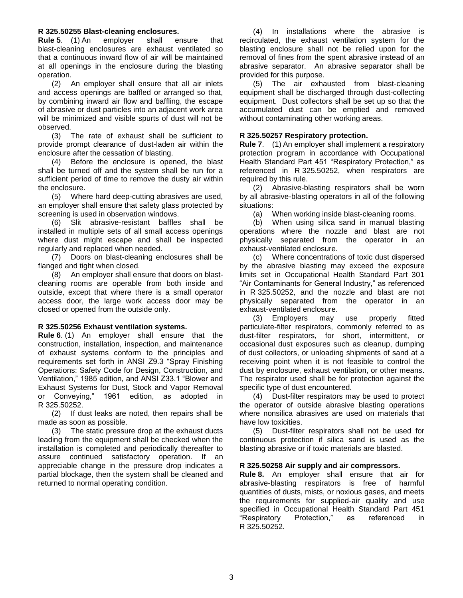### <span id="page-2-0"></span>**R 325.50255 Blast-cleaning enclosures.**

**Rule 5**. (1) An employer shall ensure that blast-cleaning enclosures are exhaust ventilated so that a continuous inward flow of air will be maintained at all openings in the enclosure during the blasting operation.

(2) An employer shall ensure that all air inlets and access openings are baffled or arranged so that, by combining inward air flow and baffling, the escape of abrasive or dust particles into an adjacent work area will be minimized and visible spurts of dust will not be observed.

(3) The rate of exhaust shall be sufficient to provide prompt clearance of dust-laden air within the enclosure after the cessation of blasting.

(4) Before the enclosure is opened, the blast shall be turned off and the system shall be run for a sufficient period of time to remove the dusty air within the enclosure.

(5) Where hard deep-cutting abrasives are used, an employer shall ensure that safety glass protected by screening is used in observation windows.

(6) Slit abrasive-resistant baffles shall be installed in multiple sets of all small access openings where dust might escape and shall be inspected regularly and replaced when needed.

(7) Doors on blast-cleaning enclosures shall be flanged and tight when closed.

(8) An employer shall ensure that doors on blastcleaning rooms are operable from both inside and outside, except that where there is a small operator access door, the large work access door may be closed or opened from the outside only.

## <span id="page-2-1"></span>**R 325.50256 Exhaust ventilation systems.**

**Rule 6**. (1) An employer shall ensure that the construction, installation, inspection, and maintenance of exhaust systems conform to the principles and requirements set forth in ANSI Z9.3 "Spray Finishing Operations: Safety Code for Design, Construction, and Ventilation," 1985 edition, and ANSI Z33.1 "Blower and Exhaust Systems for Dust, Stock and Vapor Removal or Conveying," 1961 edition, as adopted in R 325.50252.

(2) If dust leaks are noted, then repairs shall be made as soon as possible.

(3) The static pressure drop at the exhaust ducts leading from the equipment shall be checked when the installation is completed and periodically thereafter to assure continued satisfactory operation. If an appreciable change in the pressure drop indicates a partial blockage, then the system shall be cleaned and returned to normal operating condition.

(4) In installations where the abrasive is recirculated, the exhaust ventilation system for the blasting enclosure shall not be relied upon for the removal of fines from the spent abrasive instead of an abrasive separator. An abrasive separator shall be provided for this purpose.

(5) The air exhausted from blast-cleaning equipment shall be discharged through dust-collecting equipment. Dust collectors shall be set up so that the accumulated dust can be emptied and removed without contaminating other working areas.

## <span id="page-2-2"></span>**R 325.50257 Respiratory protection.**

**Rule 7**. (1) An employer shall implement a respiratory protection program in accordance with Occupational Health Standard Part 451 "Respiratory Protection," as referenced in R 325.50252, when respirators are required by this rule.

(2) Abrasive-blasting respirators shall be worn by all abrasive-blasting operators in all of the following situations:

(a) When working inside blast-cleaning rooms.

(b) When using silica sand in manual blasting operations where the nozzle and blast are not physically separated from the operator in an exhaust-ventilated enclosure.

(c) Where concentrations of toxic dust dispersed by the abrasive blasting may exceed the exposure limits set in Occupational Health Standard Part 301 "Air Contaminants for General Industry," as referenced in R 325.50252, and the nozzle and blast are not physically separated from the operator in an exhaust-ventilated enclosure.

(3) Employers may use properly fitted particulate-filter respirators, commonly referred to as dust-filter respirators, for short, intermittent, or occasional dust exposures such as cleanup, dumping of dust collectors, or unloading shipments of sand at a receiving point when it is not feasible to control the dust by enclosure, exhaust ventilation, or other means. The respirator used shall be for protection against the specific type of dust encountered.

(4) Dust-filter respirators may be used to protect the operator of outside abrasive blasting operations where nonsilica abrasives are used on materials that have low toxicities.

(5) Dust-filter respirators shall not be used for continuous protection if silica sand is used as the blasting abrasive or if toxic materials are blasted.

### <span id="page-2-3"></span>**R 325.50258 Air supply and air compressors.**

**Rule 8.** An employer shall ensure that air for abrasive-blasting respirators is free of harmful quantities of dusts, mists, or noxious gases, and meets the requirements for supplied-air quality and use specified in Occupational Health Standard Part 451 "Respiratory Protection," as referenced in R 325.50252.